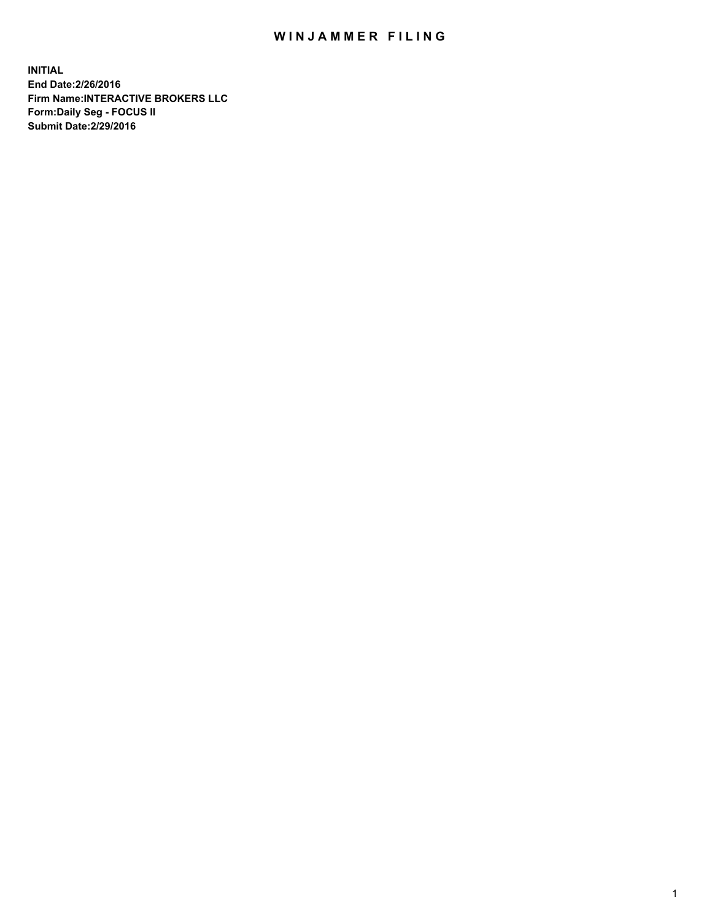## WIN JAMMER FILING

**INITIAL End Date:2/26/2016 Firm Name:INTERACTIVE BROKERS LLC Form:Daily Seg - FOCUS II Submit Date:2/29/2016**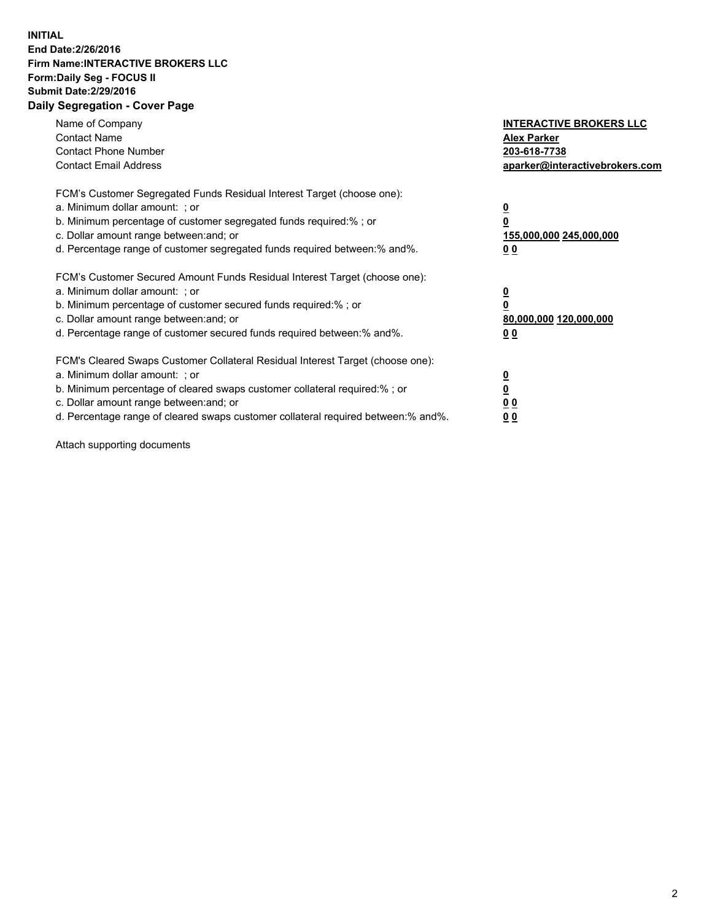## **INITIAL End Date:2/26/2016 Firm Name:INTERACTIVE BROKERS LLC Form:Daily Seg - FOCUS II Submit Date:2/29/2016 Daily Segregation - Cover Page**

| Name of Company<br><b>Contact Name</b><br><b>Contact Phone Number</b><br><b>Contact Email Address</b>                                                                                                                                                                                                                         | <b>INTERACTIVE BROKERS LLC</b><br><b>Alex Parker</b><br>203-618-7738<br>aparker@interactivebrokers.com |
|-------------------------------------------------------------------------------------------------------------------------------------------------------------------------------------------------------------------------------------------------------------------------------------------------------------------------------|--------------------------------------------------------------------------------------------------------|
| FCM's Customer Segregated Funds Residual Interest Target (choose one):<br>a. Minimum dollar amount: ; or<br>b. Minimum percentage of customer segregated funds required:% ; or<br>c. Dollar amount range between: and; or<br>d. Percentage range of customer segregated funds required between:% and%.                        | <u>0</u><br>155,000,000 245,000,000<br>0 <sub>0</sub>                                                  |
| FCM's Customer Secured Amount Funds Residual Interest Target (choose one):<br>a. Minimum dollar amount: ; or<br>b. Minimum percentage of customer secured funds required:%; or<br>c. Dollar amount range between: and; or<br>d. Percentage range of customer secured funds required between: % and %.                         | <u>0</u><br>80,000,000 120,000,000<br><u>00</u>                                                        |
| FCM's Cleared Swaps Customer Collateral Residual Interest Target (choose one):<br>a. Minimum dollar amount: ; or<br>b. Minimum percentage of cleared swaps customer collateral required:%; or<br>c. Dollar amount range between: and; or<br>d. Percentage range of cleared swaps customer collateral required between:% and%. | <u>0</u><br>0 <sub>0</sub><br>0 <sub>0</sub>                                                           |

Attach supporting documents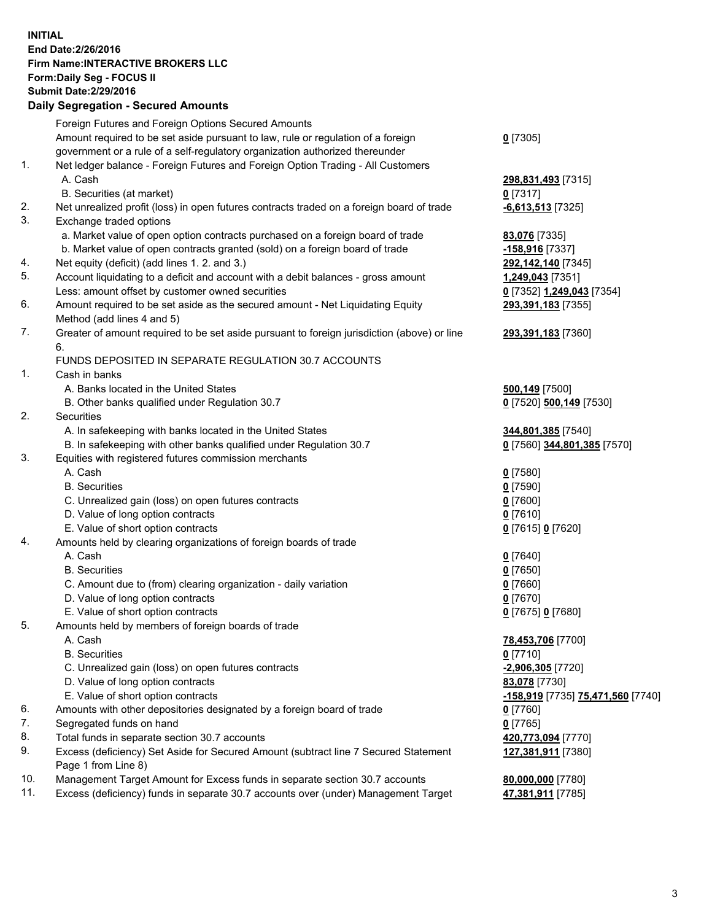## **INITIAL End Date:2/26/2016 Firm Name:INTERACTIVE BROKERS LLC Form:Daily Seg - FOCUS II Submit Date:2/29/2016 Daily Segregation - Secured Amounts**

|     | Foreign Futures and Foreign Options Secured Amounts                                         |                                   |
|-----|---------------------------------------------------------------------------------------------|-----------------------------------|
|     | Amount required to be set aside pursuant to law, rule or regulation of a foreign            | $0$ [7305]                        |
|     | government or a rule of a self-regulatory organization authorized thereunder                |                                   |
| 1.  | Net ledger balance - Foreign Futures and Foreign Option Trading - All Customers             |                                   |
|     | A. Cash                                                                                     | 298,831,493 [7315]                |
|     | B. Securities (at market)                                                                   | $0$ [7317]                        |
| 2.  | Net unrealized profit (loss) in open futures contracts traded on a foreign board of trade   | -6,613,513 [7325]                 |
| 3.  | Exchange traded options                                                                     |                                   |
|     | a. Market value of open option contracts purchased on a foreign board of trade              | 83,076 [7335]                     |
|     | b. Market value of open contracts granted (sold) on a foreign board of trade                | -158,916 [7337]                   |
| 4.  | Net equity (deficit) (add lines 1.2. and 3.)                                                | 292,142,140 [7345]                |
| 5.  | Account liquidating to a deficit and account with a debit balances - gross amount           | 1,249,043 [7351]                  |
|     | Less: amount offset by customer owned securities                                            | 0 [7352] 1,249,043 [7354]         |
| 6.  | Amount required to be set aside as the secured amount - Net Liquidating Equity              | 293,391,183 [7355]                |
|     | Method (add lines 4 and 5)                                                                  |                                   |
| 7.  | Greater of amount required to be set aside pursuant to foreign jurisdiction (above) or line | 293,391,183 [7360]                |
|     | 6.                                                                                          |                                   |
|     | FUNDS DEPOSITED IN SEPARATE REGULATION 30.7 ACCOUNTS                                        |                                   |
| 1.  | Cash in banks                                                                               |                                   |
|     | A. Banks located in the United States                                                       |                                   |
|     |                                                                                             | 500,149 [7500]                    |
|     | B. Other banks qualified under Regulation 30.7                                              | 0 [7520] 500,149 [7530]           |
| 2.  | Securities                                                                                  |                                   |
|     | A. In safekeeping with banks located in the United States                                   | 344,801,385 [7540]                |
|     | B. In safekeeping with other banks qualified under Regulation 30.7                          | 0 [7560] 344,801,385 [7570]       |
| 3.  | Equities with registered futures commission merchants                                       |                                   |
|     | A. Cash                                                                                     | $0$ [7580]                        |
|     | <b>B.</b> Securities                                                                        | $0$ [7590]                        |
|     | C. Unrealized gain (loss) on open futures contracts                                         | $0$ [7600]                        |
|     | D. Value of long option contracts                                                           | $0$ [7610]                        |
|     | E. Value of short option contracts                                                          | 0 [7615] 0 [7620]                 |
| 4.  | Amounts held by clearing organizations of foreign boards of trade                           |                                   |
|     | A. Cash                                                                                     | $0$ [7640]                        |
|     | <b>B.</b> Securities                                                                        | $0$ [7650]                        |
|     | C. Amount due to (from) clearing organization - daily variation                             | $0$ [7660]                        |
|     | D. Value of long option contracts                                                           | $0$ [7670]                        |
|     | E. Value of short option contracts                                                          | 0 [7675] 0 [7680]                 |
| 5.  | Amounts held by members of foreign boards of trade                                          |                                   |
|     | A. Cash                                                                                     | 78,453,706 [7700]                 |
|     | <b>B.</b> Securities                                                                        | $0$ [7710]                        |
|     | C. Unrealized gain (loss) on open futures contracts                                         | -2,906,305 [7720]                 |
|     | D. Value of long option contracts                                                           | 83,078 [7730]                     |
|     | E. Value of short option contracts                                                          | -158,919 [7735] 75,471,560 [7740] |
| 6.  | Amounts with other depositories designated by a foreign board of trade                      | $0$ [7760]                        |
| 7.  | Segregated funds on hand                                                                    | $0$ [7765]                        |
| 8.  | Total funds in separate section 30.7 accounts                                               | 420,773,094 [7770]                |
| 9.  | Excess (deficiency) Set Aside for Secured Amount (subtract line 7 Secured Statement         | 127,381,911 [7380]                |
|     | Page 1 from Line 8)                                                                         |                                   |
| 10. | Management Target Amount for Excess funds in separate section 30.7 accounts                 | 80,000,000 [7780]                 |
| 11. | Excess (deficiency) funds in separate 30.7 accounts over (under) Management Target          | 47,381,911 [7785]                 |
|     |                                                                                             |                                   |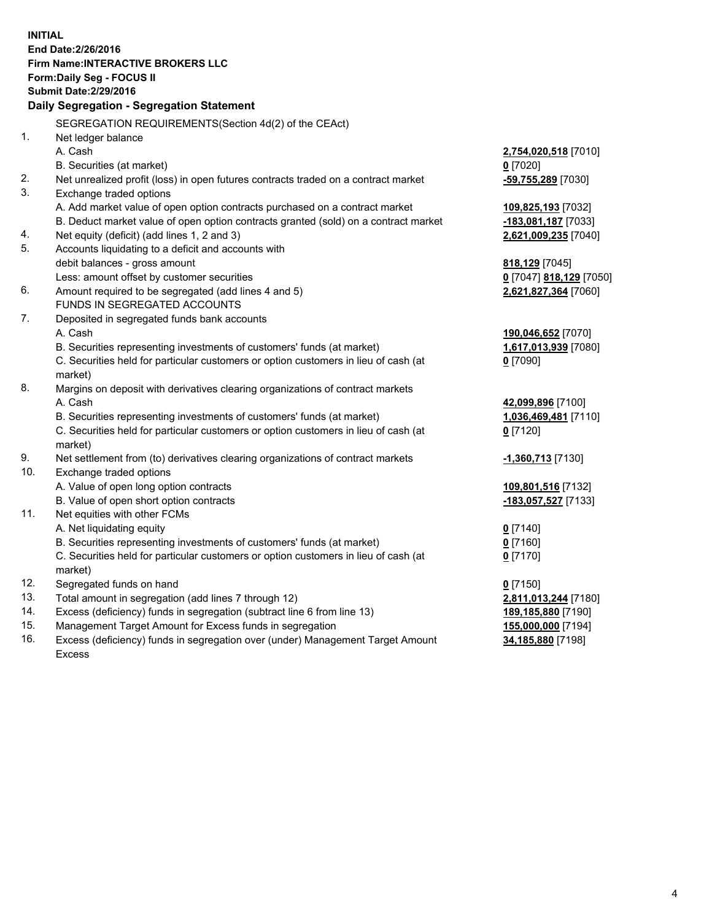**INITIAL End Date:2/26/2016 Firm Name:INTERACTIVE BROKERS LLC Form:Daily Seg - FOCUS II Submit Date:2/29/2016 Daily Segregation - Segregation Statement** SEGREGATION REQUIREMENTS(Section 4d(2) of the CEAct) 1. Net ledger balance A. Cash **2,754,020,518** [7010] B. Securities (at market) **0** [7020] 2. Net unrealized profit (loss) in open futures contracts traded on a contract market **-59,755,289** [7030] 3. Exchange traded options A. Add market value of open option contracts purchased on a contract market **109,825,193** [7032] B. Deduct market value of open option contracts granted (sold) on a contract market **-183,081,187** [7033] 4. Net equity (deficit) (add lines 1, 2 and 3) **2,621,009,235** [7040] 5. Accounts liquidating to a deficit and accounts with debit balances - gross amount **818,129** [7045] Less: amount offset by customer securities **0** [7047] **818,129** [7050] 6. Amount required to be segregated (add lines 4 and 5) **2,621,827,364** [7060] FUNDS IN SEGREGATED ACCOUNTS 7. Deposited in segregated funds bank accounts A. Cash **190,046,652** [7070] B. Securities representing investments of customers' funds (at market) **1,617,013,939** [7080] C. Securities held for particular customers or option customers in lieu of cash (at market) **0** [7090] 8. Margins on deposit with derivatives clearing organizations of contract markets A. Cash **42,099,896** [7100] B. Securities representing investments of customers' funds (at market) **1,036,469,481** [7110] C. Securities held for particular customers or option customers in lieu of cash (at market) **0** [7120] 9. Net settlement from (to) derivatives clearing organizations of contract markets **-1,360,713** [7130] 10. Exchange traded options A. Value of open long option contracts **109,801,516** [7132] B. Value of open short option contracts **-183,057,527** [7133] 11. Net equities with other FCMs A. Net liquidating equity **0** [7140] B. Securities representing investments of customers' funds (at market) **0** [7160] C. Securities held for particular customers or option customers in lieu of cash (at market) **0** [7170] 12. Segregated funds on hand **0** [7150] 13. Total amount in segregation (add lines 7 through 12) **2,811,013,244** [7180] 14. Excess (deficiency) funds in segregation (subtract line 6 from line 13) **189,185,880** [7190] 15. Management Target Amount for Excess funds in segregation **155,000,000** [7194]

16. Excess (deficiency) funds in segregation over (under) Management Target Amount Excess

**34,185,880** [7198]